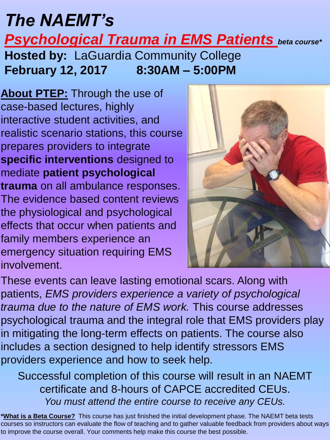## *The NAEMT's Psychological Trauma in EMS Patients beta course\** **Hosted by:** LaGuardia Community College **February 12, 2017 8:30AM – 5:00PM**

**About PTEP:** Through the use of case-based lectures, highly interactive student activities, and realistic scenario stations, this course prepares providers to integrate **specific interventions** designed to mediate **patient psychological trauma** on all ambulance responses. The evidence based content reviews the physiological and psychological effects that occur when patients and family members experience an emergency situation requiring EMS involvement.



These events can leave lasting emotional scars. Along with patients, *EMS providers experience a variety of psychological trauma due to the nature of EMS work.* This course addresses psychological trauma and the integral role that EMS providers play in mitigating the long-term effects on patients. The course also includes a section designed to help identify stressors EMS providers experience and how to seek help.

Successful completion of this course will result in an NAEMT certificate and 8-hours of CAPCE accredited CEUs. *You must attend the entire course to receive any CEUs.*

**\*What is a Beta Course?** This course has just finished the initial development phase. The NAEMT beta tests courses so instructors can evaluate the flow of teaching and to gather valuable feedback from providers about ways to improve the course overall. Your comments help make this course the best possible.